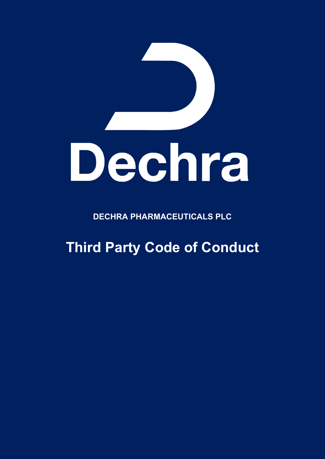

**DECHRA PHARMACEUTICALS PLC**

**Third Party Code of Conduct**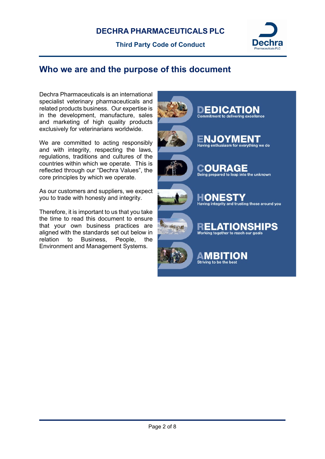

## **Who we are and the purpose of this document**

Dechra Pharmaceuticals is an international specialist veterinary pharmaceuticals and related products business. Our expertise is in the development, manufacture, sales and marketing of high quality products exclusively for veterinarians worldwide.

We are committed to acting responsibly and with integrity, respecting the laws, regulations, traditions and cultures of the countries within which we operate. This is reflected through our "Dechra Values", the core principles by which we operate.

As our customers and suppliers, we expect you to trade with honesty and integrity.

Therefore, it is important to us that you take the time to read this document to ensure that your own business practices are aligned with the standards set out below in relation to Business, People, the Environment and Management Systems.

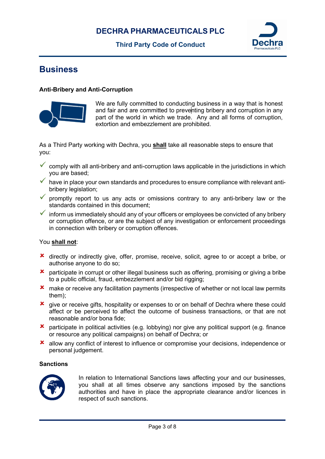## **DECHRA PHARMACEUTICALS PLC**

**Third Party Code of Conduct**



# **Business**

#### **Anti-Bribery and Anti-Corruption**



We are fully committed to conducting business in a way that is honest and fair and are committed to preventing bribery and corruption in any part of the world in which we trade. Any and all forms of corruption, extortion and embezzlement are prohibited.

As a Third Party working with Dechra, you **shall** take all reasonable steps to ensure that you:

- $\checkmark$  comply with all anti-bribery and anti-corruption laws applicable in the jurisdictions in which you are based;
- have in place your own standards and procedures to ensure compliance with relevant antibribery legislation;
- $\checkmark$  promptly report to us any acts or omissions contrary to any anti-bribery law or the standards contained in this document;

 $\checkmark$  inform us immediately should any of your officers or employees be convicted of any bribery or corruption offence, or are the subject of any investigation or enforcement proceedings in connection with bribery or corruption offences.

#### You **shall not**:

- **x** directly or indirectly give, offer, promise, receive, solicit, agree to or accept a bribe, or authorise anyone to do so;
- **x** participate in corrupt or other illegal business such as offering, promising or giving a bribe to a public official, fraud, embezzlement and/or bid rigging;
- **x** make or receive any facilitation payments (irrespective of whether or not local law permits them);
- **x** give or receive gifts, hospitality or expenses to or on behalf of Dechra where these could affect or be perceived to affect the outcome of business transactions, or that are not reasonable and/or bona fide;
- participate in political activities (e.g. lobbying) nor give any political support (e.g. finance or resource any political campaigns) on behalf of Dechra; or
- allow any conflict of interest to influence or compromise your decisions, independence or personal judgement.

#### **Sanctions**



In relation to International Sanctions laws affecting your and our businesses, you shall at all times observe any sanctions imposed by the sanctions authorities and have in place the appropriate clearance and/or licences in respect of such sanctions.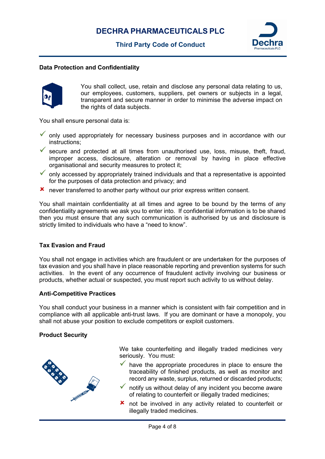

#### **Data Protection and Confidentiality**



You shall collect, use, retain and disclose any personal data relating to us, our employees, customers, suppliers, pet owners or subjects in a legal, transparent and secure manner in order to minimise the adverse impact on the rights of data subjects.

You shall ensure personal data is:

- $\checkmark$  only used appropriately for necessary business purposes and in accordance with our instructions;
- secure and protected at all times from unauthorised use, loss, misuse, theft, fraud, improper access, disclosure, alteration or removal by having in place effective organisational and security measures to protect it;
- $\checkmark$  only accessed by appropriately trained individuals and that a representative is appointed for the purposes of data protection and privacy; and
- never transferred to another party without our prior express written consent.

You shall maintain confidentiality at all times and agree to be bound by the terms of any confidentiality agreements we ask you to enter into. If confidential information is to be shared then you must ensure that any such communication is authorised by us and disclosure is strictly limited to individuals who have a "need to know".

#### **Tax Evasion and Fraud**

You shall not engage in activities which are fraudulent or are undertaken for the purposes of tax evasion and you shall have in place reasonable reporting and prevention systems for such activities. In the event of any occurrence of fraudulent activity involving our business or products, whether actual or suspected, you must report such activity to us without delay.

#### **Anti-Competitive Practices**

You shall conduct your business in a manner which is consistent with fair competition and in compliance with all applicable anti-trust laws. If you are dominant or have a monopoly, you shall not abuse your position to exclude competitors or exploit customers.

#### **Product Security**



We take counterfeiting and illegally traded medicines very seriously. You must:

- $\checkmark$  have the appropriate procedures in place to ensure the traceability of finished products, as well as monitor and record any waste, surplus, returned or discarded products;
- notify us without delay of any incident you become aware of relating to counterfeit or illegally traded medicines;
- **x** not be involved in any activity related to counterfeit or illegally traded medicines.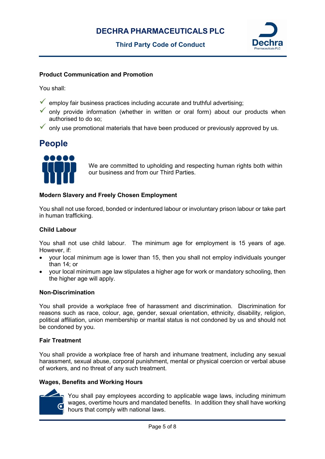

#### **Product Communication and Promotion**

You shall:

- $\checkmark$  employ fair business practices including accurate and truthful advertising;
- only provide information (whether in written or oral form) about our products when authorised to do so;
- only use promotional materials that have been produced or previously approved by us.

# **People**



We are committed to upholding and respecting human rights both within our business and from our Third Parties.

#### **Modern Slavery and Freely Chosen Employment**

You shall not use forced, bonded or indentured labour or involuntary prison labour or take part in human trafficking.

#### **Child Labour**

You shall not use child labour. The minimum age for employment is 15 years of age. However, if:

- your local minimum age is lower than 15, then you shall not employ individuals younger than 14; or
- your local minimum age law stipulates a higher age for work or mandatory schooling, then the higher age will apply.

#### **Non-Discrimination**

You shall provide a workplace free of harassment and discrimination. Discrimination for reasons such as race, colour, age, gender, sexual orientation, ethnicity, disability, religion, political affiliation, union membership or marital status is not condoned by us and should not be condoned by you.

#### **Fair Treatment**

You shall provide a workplace free of harsh and inhumane treatment, including any sexual harassment, sexual abuse, corporal punishment, mental or physical coercion or verbal abuse of workers, and no threat of any such treatment.

### **Wages, Benefits and Working Hours**



You shall pay employees according to applicable wage laws, including minimum wages, overtime hours and mandated benefits. In addition they shall have working hours that comply with national laws.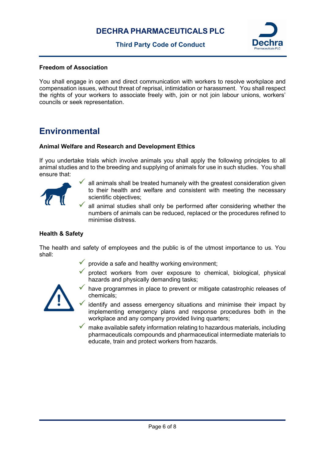

#### **Freedom of Association**

You shall engage in open and direct communication with workers to resolve workplace and compensation issues, without threat of reprisal, intimidation or harassment. You shall respect the rights of your workers to associate freely with, join or not join labour unions, workers' councils or seek representation.

## **Environmental**

#### **Animal Welfare and Research and Development Ethics**

If you undertake trials which involve animals you shall apply the following principles to all animal studies and to the breeding and supplying of animals for use in such studies. You shall ensure that:



 all animals shall be treated humanely with the greatest consideration given to their health and welfare and consistent with meeting the necessary scientific objectives;

 all animal studies shall only be performed after considering whether the numbers of animals can be reduced, replaced or the procedures refined to minimise distress.

#### **Health & Safety**

The health and safety of employees and the public is of the utmost importance to us. You shall:

- provide a safe and healthy working environment;
- protect workers from over exposure to chemical, biological, physical hazards and physically demanding tasks;



- have programmes in place to prevent or mitigate catastrophic releases of chemicals;
- identify and assess emergency situations and minimise their impact by implementing emergency plans and response procedures both in the workplace and any company provided living quarters;
- $\checkmark$  make available safety information relating to hazardous materials, including pharmaceuticals compounds and pharmaceutical intermediate materials to educate, train and protect workers from hazards.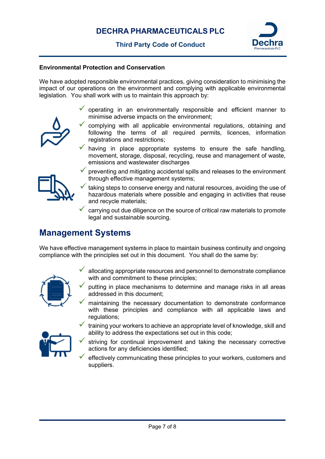

#### **Environmental Protection and Conservation**

We have adopted responsible environmental practices, giving consideration to minimising the impact of our operations on the environment and complying with applicable environmental legislation. You shall work with us to maintain this approach by:

- operating in an environmentally responsible and efficient manner to minimise adverse impacts on the environment;
- complying with all applicable environmental regulations, obtaining and following the terms of all required permits, licences, information registrations and restrictions;
- having in place appropriate systems to ensure the safe handling, movement, storage, disposal, recycling, reuse and management of waste, emissions and wastewater discharges



- preventing and mitigating accidental spills and releases to the environment through effective management systems;
- taking steps to conserve energy and natural resources, avoiding the use of hazardous materials where possible and engaging in activities that reuse and recycle materials;
- carrying out due diligence on the source of critical raw materials to promote legal and sustainable sourcing.

## **Management Systems**

We have effective management systems in place to maintain business continuity and ongoing compliance with the principles set out in this document. You shall do the same by:



- allocating appropriate resources and personnel to demonstrate compliance with and commitment to these principles:
- putting in place mechanisms to determine and manage risks in all areas addressed in this document;
- maintaining the necessary documentation to demonstrate conformance with these principles and compliance with all applicable laws and regulations:



- training your workers to achieve an appropriate level of knowledge, skill and ability to address the expectations set out in this code;
- striving for continual improvement and taking the necessary corrective actions for any deficiencies identified;
- effectively communicating these principles to your workers, customers and suppliers.